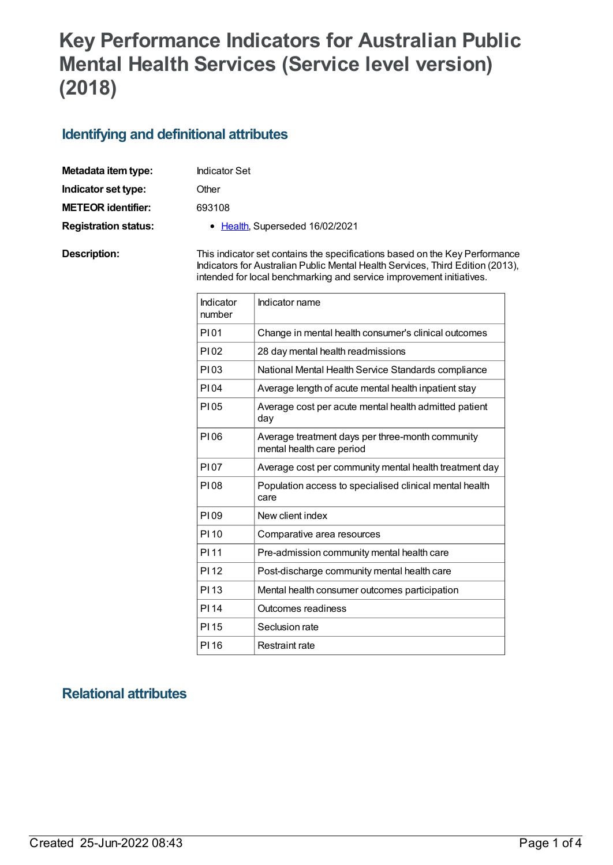# **Key Performance Indicators for Australian Public Mental Health Services (Service level version) (2018)**

#### **Identifying and definitional attributes**

| Metadata item type:         | <b>Indicator Set</b>                                                                                                                                          |
|-----------------------------|---------------------------------------------------------------------------------------------------------------------------------------------------------------|
| Indicator set type:         | Other                                                                                                                                                         |
| <b>METEOR identifier:</b>   | 693108                                                                                                                                                        |
| <b>Registration status:</b> | • Health, Superseded 16/02/2021                                                                                                                               |
| Description:                | This indicator set contains the specifications based on the Key Performance<br>Indicators for Australian Public Mental Health Services, Third Edition (2013), |

| Indicator<br>number | Indicator name                                                                |
|---------------------|-------------------------------------------------------------------------------|
| P101                | Change in mental health consumer's clinical outcomes                          |
| P102                | 28 day mental health readmissions                                             |
| P103                | National Mental Health Service Standards compliance                           |
| PI04                | Average length of acute mental health inpatient stay                          |
| P105                | Average cost per acute mental health admitted patient<br>day                  |
| P106                | Average treatment days per three-month community<br>mental health care period |
| P107                | Average cost per community mental health treatment day                        |
| P108                | Population access to specialised clinical mental health<br>care               |
| P109                | New client index                                                              |
| PI 10               | Comparative area resources                                                    |
| PI 11               | Pre-admission community mental health care                                    |
| PI 12               | Post-discharge community mental health care                                   |
| PI <sub>13</sub>    | Mental health consumer outcomes participation                                 |
| PI 14               | Outcomes readiness                                                            |
| PI 15               | Seclusion rate                                                                |
| PI 16               | Restraint rate                                                                |

intended for local benchmarking and service improvement initiatives.

## **Relational attributes**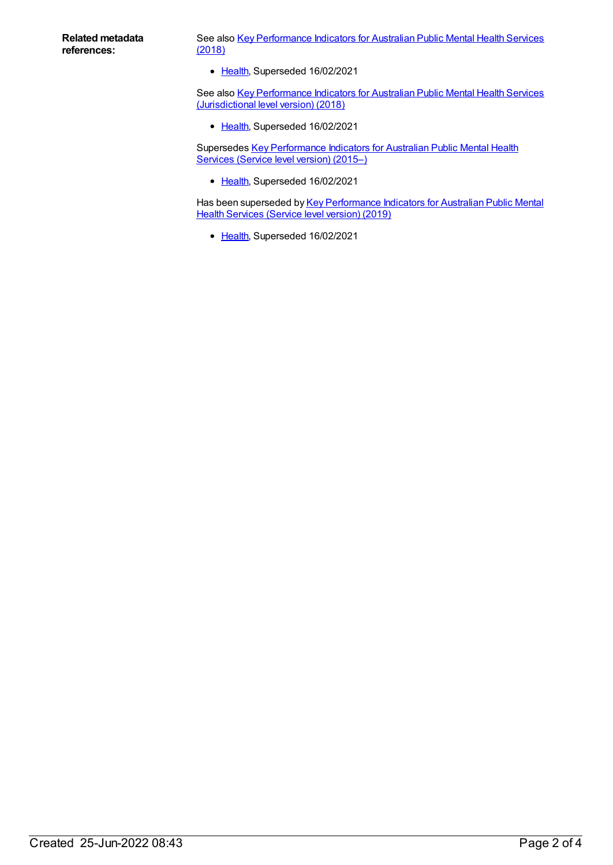See also Key [Performance](https://meteor.aihw.gov.au/content/693105) Indicators for Australian Public Mental Health Services (2018)

• [Health](https://meteor.aihw.gov.au/RegistrationAuthority/12), Superseded 16/02/2021

See also Key [Performance](https://meteor.aihw.gov.au/content/693022) Indicators for Australian Public Mental Health Services (Jurisdictional level version) (2018)

• [Health](https://meteor.aihw.gov.au/RegistrationAuthority/12), Superseded 16/02/2021

Supersedes Key [Performance](https://meteor.aihw.gov.au/content/598184) Indicators for Australian Public Mental Health Services (Service level version) (2015–)

• [Health](https://meteor.aihw.gov.au/RegistrationAuthority/12), Superseded 16/02/2021

Has been superseded by Key [Performance](https://meteor.aihw.gov.au/content/712066) Indicators for Australian Public Mental Health Services (Service level version) (2019)

• [Health](https://meteor.aihw.gov.au/RegistrationAuthority/12), Superseded 16/02/2021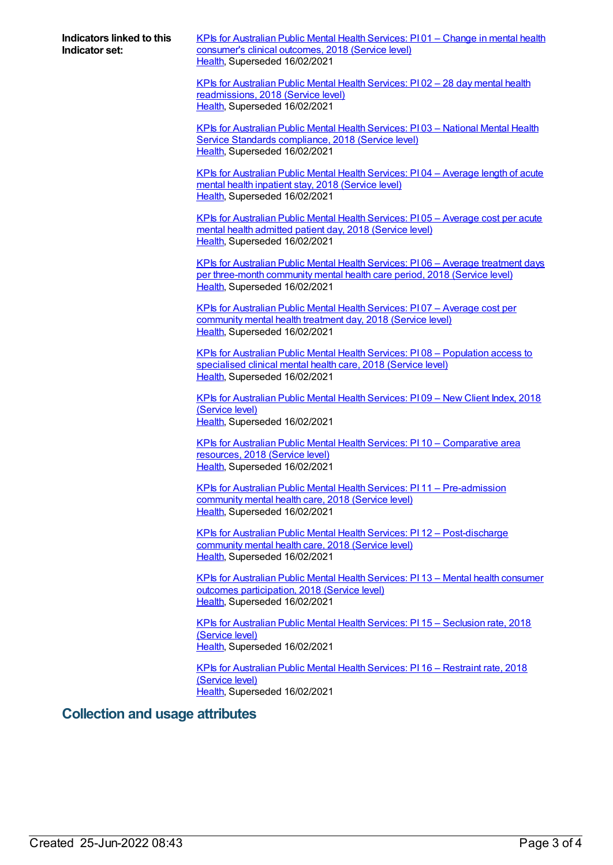**Indicators linked to this Indicator set:**

KPIs for [Australian](https://meteor.aihw.gov.au/content/693117) Public Mental Health Services: PI 01 – Change in mental health consumer's clinical outcomes, 2018 (Service level) [Health](https://meteor.aihw.gov.au/RegistrationAuthority/12), Superseded 16/02/2021

KPIs for Australian Public Mental Health Services: PI 02 – 28 day mental health [readmissions,](https://meteor.aihw.gov.au/content/633017) 2018 (Service level) [Health](https://meteor.aihw.gov.au/RegistrationAuthority/12), Superseded 16/02/2021

KPIs for [Australian](https://meteor.aihw.gov.au/content/633021) Public Mental Health Services: PI 03 – National Mental Health Service Standards compliance, 2018 (Service level) [Health](https://meteor.aihw.gov.au/RegistrationAuthority/12), Superseded 16/02/2021

KPIs for [Australian](https://meteor.aihw.gov.au/content/633023) Public Mental Health Services: PI 04 – Average length of acute mental health inpatient stay, 2018 (Service level) [Health](https://meteor.aihw.gov.au/RegistrationAuthority/12), Superseded 16/02/2021

KPIs for [Australian](https://meteor.aihw.gov.au/content/633031) Public Mental Health Services: PI 05 – Average cost per acute mental health admitted patient day, 2018 (Service level) [Health](https://meteor.aihw.gov.au/RegistrationAuthority/12), Superseded 16/02/2021

KPIs for Australian Public Mental Health Services: PI 06 – Average treatment days per [three-month](https://meteor.aihw.gov.au/content/633033) community mental health care period, 2018 (Service level) [Health](https://meteor.aihw.gov.au/RegistrationAuthority/12), Superseded 16/02/2021

KPIs for [Australian](https://meteor.aihw.gov.au/content/633038) Public Mental Health Services: PI 07 – Average cost per community mental health treatment day, 2018 (Service level) [Health](https://meteor.aihw.gov.au/RegistrationAuthority/12), Superseded 16/02/2021

KPIs for Australian Public Mental Health Services: PI 08 – [Population](https://meteor.aihw.gov.au/content/630413) access to specialised clinical mental health care, 2018 (Service level) [Health](https://meteor.aihw.gov.au/RegistrationAuthority/12), Superseded 16/02/2021

KPIs for [Australian](https://meteor.aihw.gov.au/content/633042) Public Mental Health Services: PI 09 – New Client Index, 2018 (Service level) [Health](https://meteor.aihw.gov.au/RegistrationAuthority/12), Superseded 16/02/2021

KPIs for Australian Public Mental Health Services: PI 10 – [Comparative](https://meteor.aihw.gov.au/content/693359) area resources, 2018 (Service level) [Health](https://meteor.aihw.gov.au/RegistrationAuthority/12), Superseded 16/02/2021

KPIs for Australian Public Mental Health Services: PI 11 – [Pre-admission](https://meteor.aihw.gov.au/content/633046) community mental health care, 2018 (Service level) [Health](https://meteor.aihw.gov.au/RegistrationAuthority/12), Superseded 16/02/2021

KPIs for Australian Public Mental Health Services: PI 12 – [Post-discharge](https://meteor.aihw.gov.au/content/633048) community mental health care, 2018 (Service level) [Health](https://meteor.aihw.gov.au/RegistrationAuthority/12), Superseded 16/02/2021

KPIs for Australian Public Mental Health Services: PI 13 – Mental health consumer outcomes [participation,](https://meteor.aihw.gov.au/content/693357) 2018 (Service level) [Health](https://meteor.aihw.gov.au/RegistrationAuthority/12), Superseded 16/02/2021

KPIs for [Australian](https://meteor.aihw.gov.au/content/633052) Public Mental Health Services: PI 15 – Seclusion rate, 2018 (Service level) [Health](https://meteor.aihw.gov.au/RegistrationAuthority/12), Superseded 16/02/2021

KPIs for [Australian](https://meteor.aihw.gov.au/content/693971) Public Mental Health Services: PI 16 – Restraint rate, 2018 (Service level) [Health](https://meteor.aihw.gov.au/RegistrationAuthority/12), Superseded 16/02/2021

#### **Collection and usage attributes**